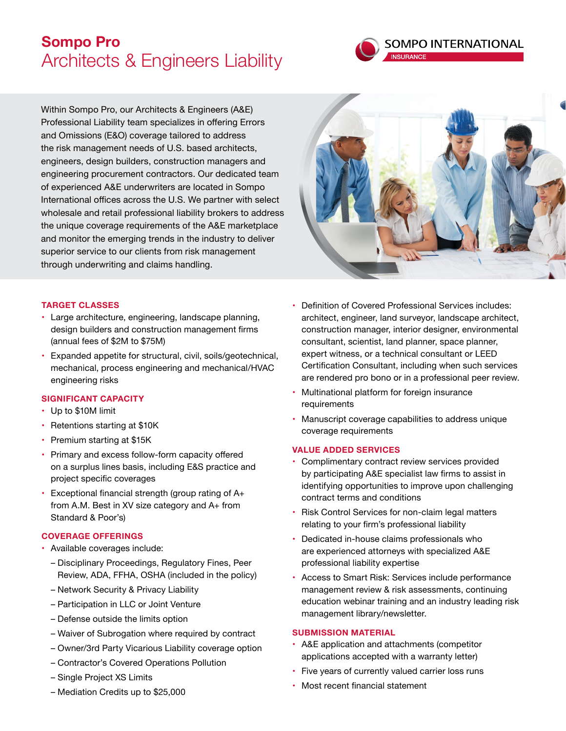# **Sompo Pro** Architects & Engineers Liability



Within Sompo Pro, our Architects & Engineers (A&E) Professional Liability team specializes in offering Errors and Omissions (E&O) coverage tailored to address the risk management needs of U.S. based architects, engineers, design builders, construction managers and engineering procurement contractors. Our dedicated team of experienced A&E underwriters are located in Sompo International offices across the U.S. We partner with select wholesale and retail professional liability brokers to address the unique coverage requirements of the A&E marketplace and monitor the emerging trends in the industry to deliver superior service to our clients from risk management through underwriting and claims handling.



## **TARGET CLASSES**

- Large architecture, engineering, landscape planning, design builders and construction management firms (annual fees of \$2M to \$75M)
- Expanded appetite for structural, civil, soils/geotechnical, mechanical, process engineering and mechanical/HVAC engineering risks

## **SIGNIFICANT CAPACITY**

- • Up to \$10M limit
- Retentions starting at \$10K
- • Premium starting at \$15K
- Primary and excess follow-form capacity offered on a surplus lines basis, including E&S practice and project specific coverages
- $\cdot$  Exceptional financial strength (group rating of A+ from A.M. Best in XV size category and A+ from Standard & Poor's)

## **COVERAGE OFFERINGS**

- Available coverages include:
	- Disciplinary Proceedings, Regulatory Fines, Peer Review, ADA, FFHA, OSHA (included in the policy)
	- Network Security & Privacy Liability
	- Participation in LLC or Joint Venture
	- Defense outside the limits option
	- Waiver of Subrogation where required by contract
	- Owner/3rd Party Vicarious Liability coverage option
	- Contractor's Covered Operations Pollution
	- Single Project XS Limits
	- Mediation Credits up to \$25,000
- Definition of Covered Professional Services includes: architect, engineer, land surveyor, landscape architect, construction manager, interior designer, environmental consultant, scientist, land planner, space planner, expert witness, or a technical consultant or LEED Certification Consultant, including when such services are rendered pro bono or in a professional peer review.
- Multinational platform for foreign insurance requirements
- Manuscript coverage capabilities to address unique coverage requirements

## **VALUE ADDED SERVICES**

- Complimentary contract review services provided by participating A&E specialist law firms to assist in identifying opportunities to improve upon challenging contract terms and conditions
- Risk Control Services for non-claim legal matters relating to your firm's professional liability
- Dedicated in-house claims professionals who are experienced attorneys with specialized A&E professional liability expertise
- Access to Smart Risk: Services include performance management review & risk assessments, continuing education webinar training and an industry leading risk management library/newsletter.

## **SUBMISSION MATERIAL**

- A&E application and attachments (competitor applications accepted with a warranty letter)
- Five years of currently valued carrier loss runs
- Most recent financial statement